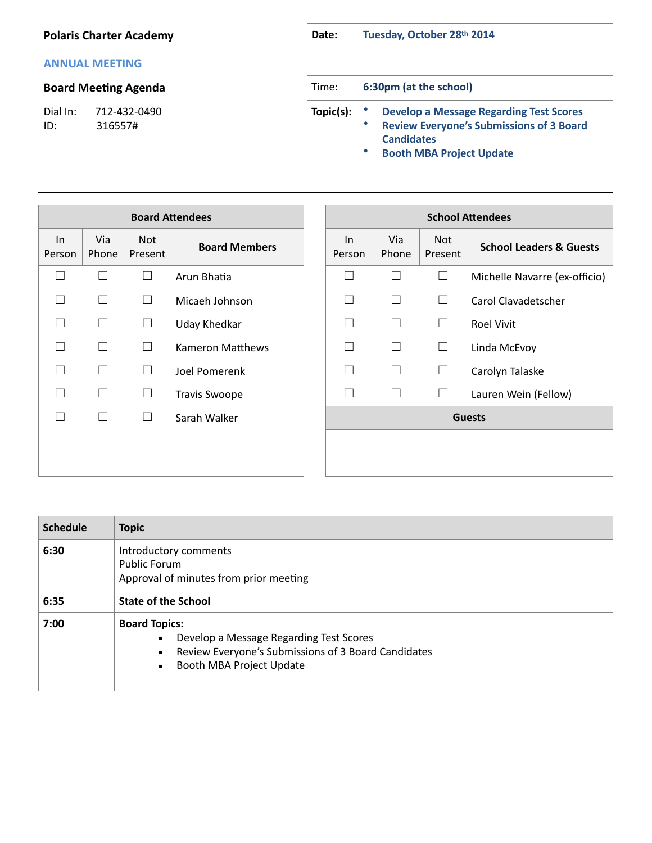## **Polaris Charter Academy**

## **ANNUAL MEETING**

## **Board Meeting Agenda**

Dial In: 712-432-0490<br>ID: 316557# 316557#

| Date:     | Tuesday, October 28th 2014                                                                                                                                                  |  |  |  |
|-----------|-----------------------------------------------------------------------------------------------------------------------------------------------------------------------------|--|--|--|
| Time:     | 6:30pm (at the school)                                                                                                                                                      |  |  |  |
| Topic(s): | <b>Develop a Message Regarding Test Scores</b><br><b>Review Everyone's Submissions of 3 Board</b><br>٠<br><b>Candidates</b><br><b>Booth MBA Project Update</b><br>$\bullet$ |  |  |  |

| <b>Board Attendees</b> |              |                |                         |              |              | <b>School Attendees</b> |                               |
|------------------------|--------------|----------------|-------------------------|--------------|--------------|-------------------------|-------------------------------|
| In<br>Person           | Via<br>Phone | Not<br>Present | <b>Board Members</b>    | In<br>Person | Via<br>Phone | Not<br>Present          | <b>School Leaders &amp; G</b> |
| □                      | П            | $\Box$         | Arun Bhatia             | $\mathsf{L}$ | $\mathbf{I}$ | $\Box$                  | Michelle Navarre (ex-         |
|                        | $\Box$       | П              | Micaeh Johnson          | П            | $\mathbf{L}$ | $\Box$                  | Carol Clavadetscher           |
|                        | $\Box$       | $\Box$         | <b>Uday Khedkar</b>     | П            | $\mathbf{I}$ | $\Box$                  | <b>Roel Vivit</b>             |
|                        | $\Box$       | П              | <b>Kameron Matthews</b> | П            | $\mathbf{I}$ | $\Box$                  | Linda McEvoy                  |
|                        | $\Box$       | $\Box$         | Joel Pomerenk           | П            | $\Box$       | $\Box$                  | Carolyn Talaske               |
|                        | $\Box$       | $\Box$         | <b>Travis Swoope</b>    | $\perp$      | $\Box$       | ⊔                       | Lauren Wein (Fellow)          |
|                        | $\Box$       | $\Box$         | Sarah Walker            |              |              |                         | <b>Guests</b>                 |
|                        |              |                |                         |              |              |                         |                               |
|                        |              |                |                         |              |              |                         |                               |

| <b>Board Attendees</b> |              |                       |                      |                 |              | <b>School Attendees</b> |                                    |
|------------------------|--------------|-----------------------|----------------------|-----------------|--------------|-------------------------|------------------------------------|
| $\ln$<br>rson!         | Via<br>Phone | <b>Not</b><br>Present | <b>Board Members</b> | $\ln$<br>Person | Via<br>Phone | Not<br>Present          | <b>School Leaders &amp; Guests</b> |
| $\Box$                 |              | $\Box$                | Arun Bhatia          |                 | Г            | $\sqcup$                | Michelle Navarre (ex-officio)      |
| $\Box$                 | П            | $\Box$                | Micaeh Johnson       | $\mathbf{I}$    | П            | $\Box$                  | Carol Clavadetscher                |
| $\Box$                 |              | $\Box$                | Uday Khedkar         |                 | $\Box$       | $\Box$                  | <b>Roel Vivit</b>                  |
| $\Box$                 |              |                       | Kameron Matthews     |                 | П            | ⊔                       | Linda McEvoy                       |
| $\Box$                 | $\perp$      | $\Box$                | Joel Pomerenk        |                 | $\Box$       | $\Box$                  | Carolyn Talaske                    |
| $\Box$                 |              | Ш                     | <b>Travis Swoope</b> |                 | П            | $\Box$                  | Lauren Wein (Fellow)               |
| $\Box$                 | П            | ⊔                     | Sarah Walker         |                 |              |                         | <b>Guests</b>                      |
|                        |              |                       |                      |                 |              |                         |                                    |
|                        |              |                       |                      |                 |              |                         |                                    |

| <b>Schedule</b> | <b>Topic</b>                                                                                                                                                                                             |  |  |  |
|-----------------|----------------------------------------------------------------------------------------------------------------------------------------------------------------------------------------------------------|--|--|--|
| 6:30            | Introductory comments<br>Public Forum<br>Approval of minutes from prior meeting                                                                                                                          |  |  |  |
| 6:35            | <b>State of the School</b>                                                                                                                                                                               |  |  |  |
| 7:00            | <b>Board Topics:</b><br>Develop a Message Regarding Test Scores<br>$\blacksquare$<br>Review Everyone's Submissions of 3 Board Candidates<br>$\blacksquare$<br>Booth MBA Project Update<br>$\blacksquare$ |  |  |  |